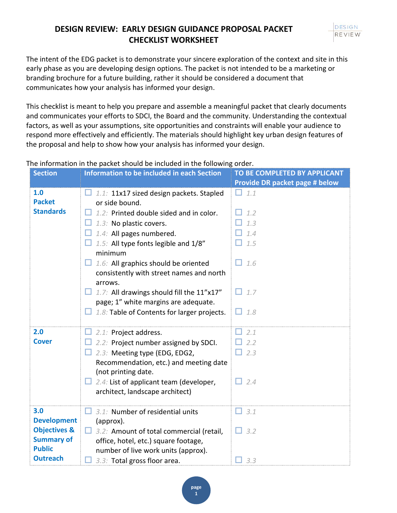

The intent of the EDG packet is to demonstrate your sincere exploration of the context and site in this early phase as you are developing design options. The packet is not intended to be a marketing or branding brochure for a future building, rather it should be considered a document that communicates how your analysis has informed your design.

This checklist is meant to help you prepare and assemble a meaningful packet that clearly documents and communicates your efforts to SDCI, the Board and the community. Understanding the contextual factors, as well as your assumptions, site opportunities and constraints will enable your audience to respond more effectively and efficiently. The materials should highlight key urban design features of the proposal and help to show how your analysis has informed your design.

The information in the packet should be included in the following order.

| <b>Section</b>          | <b>Information to be included in each Section</b>                                | TO BE COMPLETED BY APPLICANT   |
|-------------------------|----------------------------------------------------------------------------------|--------------------------------|
|                         |                                                                                  | Provide DR packet page # below |
| 1.0                     | 1.1: 11x17 sized design packets. Stapled                                         | 1.1<br>H                       |
| <b>Packet</b>           | or side bound.                                                                   |                                |
| <b>Standards</b>        | 1.2: Printed double sided and in color.                                          | 1.2                            |
|                         | 1.3: No plastic covers.                                                          | 1.3                            |
|                         | 1.4: All pages numbered.                                                         | 1.4                            |
|                         | 1.5: All type fonts legible and 1/8"<br>minimum                                  | 1.5                            |
|                         | 1.6: All graphics should be oriented<br>consistently with street names and north | $\Box$ 1.6                     |
|                         | arrows.                                                                          |                                |
|                         | 1.7: All drawings should fill the 11"x17"                                        | 1.7                            |
|                         | page; 1" white margins are adequate.                                             |                                |
|                         | 1.8: Table of Contents for larger projects.                                      | $\Box$ 1.8                     |
|                         |                                                                                  |                                |
| 2.0                     | 2.1: Project address.                                                            | 2.1                            |
| <b>Cover</b>            | 2.2: Project number assigned by SDCI.                                            | 2.2                            |
|                         | 2.3: Meeting type (EDG, EDG2,                                                    | $\Box$ 2.3                     |
|                         | Recommendation, etc.) and meeting date<br>(not printing date.                    |                                |
|                         | $\Box$ 2.4: List of applicant team (developer,                                   | 2.4                            |
|                         | architect, landscape architect)                                                  |                                |
| 3.0                     | 3.1: Number of residential units                                                 | 3.1                            |
| <b>Development</b>      | (approx).                                                                        |                                |
| <b>Objectives &amp;</b> | 3.2: Amount of total commercial (retail,                                         | 3.2                            |
| <b>Summary of</b>       | office, hotel, etc.) square footage,                                             |                                |
| <b>Public</b>           | number of live work units (approx).                                              |                                |
| <b>Outreach</b>         | 3.3: Total gross floor area.                                                     | 3.3                            |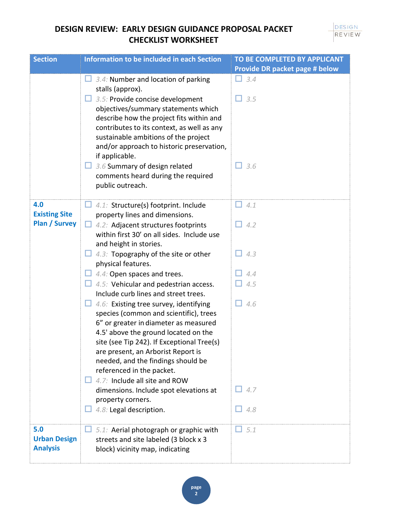| <b>Section</b>                               | <b>Information to be included in each Section</b>                                                                                                                                                                                                                                                                                                                                                                                                          | TO BE COMPLETED BY APPLICANT          |
|----------------------------------------------|------------------------------------------------------------------------------------------------------------------------------------------------------------------------------------------------------------------------------------------------------------------------------------------------------------------------------------------------------------------------------------------------------------------------------------------------------------|---------------------------------------|
|                                              |                                                                                                                                                                                                                                                                                                                                                                                                                                                            | <b>Provide DR packet page # below</b> |
|                                              | 3.4: Number and location of parking<br>stalls (approx).<br>3.5: Provide concise development<br>objectives/summary statements which<br>describe how the project fits within and<br>contributes to its context, as well as any<br>sustainable ambitions of the project<br>and/or approach to historic preservation,                                                                                                                                          | 3.4<br>$\Box$ 3.5                     |
|                                              | if applicable.<br>$\Box$ 3.6 Summary of design related<br>comments heard during the required<br>public outreach.                                                                                                                                                                                                                                                                                                                                           | 3.6<br>H.                             |
| 4.0                                          | $\Box$ 4.1: Structure(s) footprint. Include                                                                                                                                                                                                                                                                                                                                                                                                                | 4.1<br>H.                             |
| <b>Existing Site</b><br><b>Plan / Survey</b> | property lines and dimensions.<br>4.2: Adjacent structures footprints<br>within first 30' on all sides. Include use<br>and height in stories.                                                                                                                                                                                                                                                                                                              | $\Box$ 4.2                            |
|                                              | 4.3: Topography of the site or other<br>physical features.                                                                                                                                                                                                                                                                                                                                                                                                 | 4.3                                   |
|                                              | $\Box$ 4.4: Open spaces and trees.                                                                                                                                                                                                                                                                                                                                                                                                                         | 4.4                                   |
|                                              | 4.5: Vehicular and pedestrian access.                                                                                                                                                                                                                                                                                                                                                                                                                      | 4.5                                   |
|                                              | Include curb lines and street trees.                                                                                                                                                                                                                                                                                                                                                                                                                       |                                       |
|                                              | 4.6: Existing tree survey, identifying<br>species (common and scientific), trees<br>6" or greater in diameter as measured<br>4.5' above the ground located on the<br>site (see Tip 242). If Exceptional Tree(s)<br>are present, an Arborist Report is<br>needed, and the findings should be<br>referenced in the packet.<br>$\Box$ 4.7: Include all site and ROW<br>dimensions. Include spot elevations at<br>property corners.<br>4.8: Legal description. | 4.6<br>l I<br>4.7<br>4.8              |
| 5.0                                          | 5.1: Aerial photograph or graphic with                                                                                                                                                                                                                                                                                                                                                                                                                     | 5.1                                   |
| <b>Urban Design</b><br><b>Analysis</b>       | streets and site labeled (3 block x 3<br>block) vicinity map, indicating                                                                                                                                                                                                                                                                                                                                                                                   |                                       |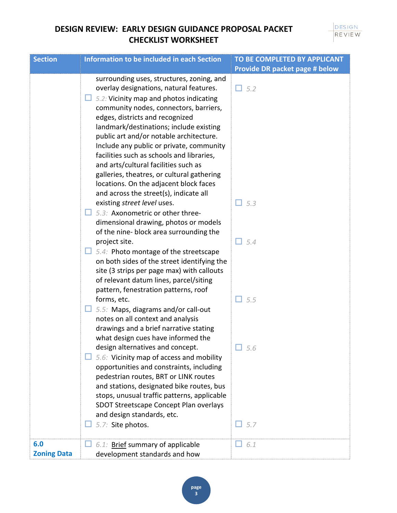#### DESIGN REVIEW

| <b>Section</b>     | <b>Information to be included in each Section</b> | TO BE COMPLETED BY APPLICANT   |
|--------------------|---------------------------------------------------|--------------------------------|
|                    |                                                   | Provide DR packet page # below |
|                    | surrounding uses, structures, zoning, and         |                                |
|                    | overlay designations, natural features.           | $\Box$ 5.2                     |
|                    | 5.2: Vicinity map and photos indicating           |                                |
|                    | community nodes, connectors, barriers,            |                                |
|                    | edges, districts and recognized                   |                                |
|                    | landmark/destinations; include existing           |                                |
|                    | public art and/or notable architecture.           |                                |
|                    | Include any public or private, community          |                                |
|                    | facilities such as schools and libraries,         |                                |
|                    | and arts/cultural facilities such as              |                                |
|                    | galleries, theatres, or cultural gathering        |                                |
|                    | locations. On the adjacent block faces            |                                |
|                    | and across the street(s), indicate all            |                                |
|                    | existing street level uses.                       | $\Box$ 5.3                     |
|                    | 5.3: Axonometric or other three-                  |                                |
|                    | dimensional drawing, photos or models             |                                |
|                    | of the nine- block area surrounding the           |                                |
|                    | project site.                                     | $\Box$ 5.4                     |
|                    | $\Box$ 5.4: Photo montage of the streetscape      |                                |
|                    | on both sides of the street identifying the       |                                |
|                    | site (3 strips per page max) with callouts        |                                |
|                    | of relevant datum lines, parcel/siting            |                                |
|                    | pattern, fenestration patterns, roof              |                                |
|                    | forms, etc.                                       | $\Box$ 5.5                     |
|                    | $\Box$ 5.5: Maps, diagrams and/or call-out        |                                |
|                    | notes on all context and analysis                 |                                |
|                    | drawings and a brief narrative stating            |                                |
|                    | what design cues have informed the                |                                |
|                    | design alternatives and concept.                  | 5.6                            |
|                    | 5.6: Vicinity map of access and mobility          |                                |
|                    | opportunities and constraints, including          |                                |
|                    | pedestrian routes, BRT or LINK routes             |                                |
|                    | and stations, designated bike routes, bus         |                                |
|                    | stops, unusual traffic patterns, applicable       |                                |
|                    | SDOT Streetscape Concept Plan overlays            |                                |
|                    | and design standards, etc.                        |                                |
|                    | 5.7: Site photos.                                 | 5.7<br>- 11                    |
| 6.0                | 6.1: Brief summary of applicable                  | 6.1                            |
| <b>Zoning Data</b> | development standards and how                     |                                |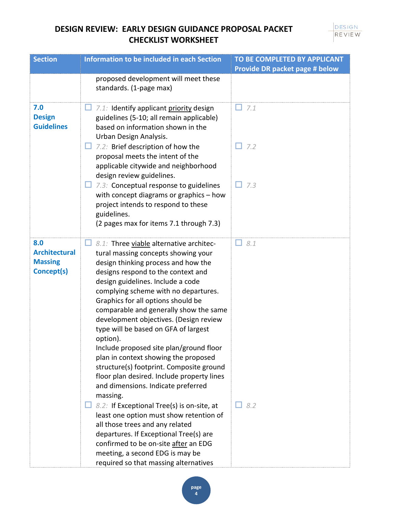| <b>Section</b>                                              | <b>Information to be included in each Section</b>                                                                                                                                                                                                                                                                                                                                                                                                                                                                                                                                                                                                     | TO BE COMPLETED BY APPLICANT          |
|-------------------------------------------------------------|-------------------------------------------------------------------------------------------------------------------------------------------------------------------------------------------------------------------------------------------------------------------------------------------------------------------------------------------------------------------------------------------------------------------------------------------------------------------------------------------------------------------------------------------------------------------------------------------------------------------------------------------------------|---------------------------------------|
|                                                             |                                                                                                                                                                                                                                                                                                                                                                                                                                                                                                                                                                                                                                                       | <b>Provide DR packet page # below</b> |
|                                                             | proposed development will meet these<br>standards. (1-page max)                                                                                                                                                                                                                                                                                                                                                                                                                                                                                                                                                                                       |                                       |
| 7.0<br><b>Design</b><br><b>Guidelines</b>                   | 7.1: Identify applicant priority design<br>guidelines (5-10; all remain applicable)<br>based on information shown in the<br>Urban Design Analysis.                                                                                                                                                                                                                                                                                                                                                                                                                                                                                                    | 7.1<br>H                              |
|                                                             | $\Box$ 7.2: Brief description of how the<br>proposal meets the intent of the<br>applicable citywide and neighborhood<br>design review guidelines.                                                                                                                                                                                                                                                                                                                                                                                                                                                                                                     | 7.2                                   |
|                                                             | $\Box$ 7.3: Conceptual response to guidelines<br>with concept diagrams or graphics - how<br>project intends to respond to these<br>guidelines.                                                                                                                                                                                                                                                                                                                                                                                                                                                                                                        | 7.3<br>H                              |
|                                                             | (2 pages max for items 7.1 through 7.3)                                                                                                                                                                                                                                                                                                                                                                                                                                                                                                                                                                                                               |                                       |
| 8.0<br><b>Architectural</b><br><b>Massing</b><br>Concept(s) | 8.1: Three viable alternative architec-<br>tural massing concepts showing your<br>design thinking process and how the<br>designs respond to the context and<br>design guidelines. Include a code<br>complying scheme with no departures.<br>Graphics for all options should be<br>comparable and generally show the same<br>development objectives. (Design review<br>type will be based on GFA of largest<br>option).<br>Include proposed site plan/ground floor<br>plan in context showing the proposed<br>structure(s) footprint. Composite ground<br>floor plan desired. Include property lines<br>and dimensions. Indicate preferred<br>massing. | 8.1                                   |
|                                                             | 8.2: If Exceptional Tree(s) is on-site, at<br>least one option must show retention of<br>all those trees and any related<br>departures. If Exceptional Tree(s) are<br>confirmed to be on-site after an EDG<br>meeting, a second EDG is may be<br>required so that massing alternatives                                                                                                                                                                                                                                                                                                                                                                | 8.2<br>H                              |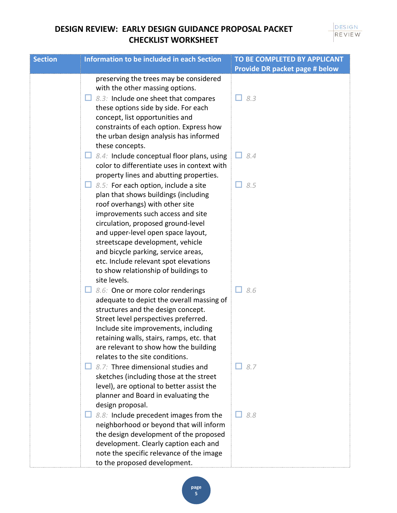| <b>Section</b> | <b>Information to be included in each Section</b>                                  | TO BE COMPLETED BY APPLICANT<br><b>Provide DR packet page # below</b> |
|----------------|------------------------------------------------------------------------------------|-----------------------------------------------------------------------|
|                | preserving the trees may be considered                                             |                                                                       |
|                | with the other massing options.                                                    |                                                                       |
|                | $\Box$ 8.3: Include one sheet that compares                                        | $\Box$ 8.3                                                            |
|                | these options side by side. For each                                               |                                                                       |
|                | concept, list opportunities and                                                    |                                                                       |
|                | constraints of each option. Express how                                            |                                                                       |
|                | the urban design analysis has informed                                             |                                                                       |
|                | these concepts.                                                                    |                                                                       |
|                | $\Box$ 8.4: Include conceptual floor plans, using                                  | 8.4                                                                   |
|                | color to differentiate uses in context with                                        |                                                                       |
|                | property lines and abutting properties.                                            |                                                                       |
|                | $\Box$ 8.5: For each option, include a site                                        | $\Box$ 8.5                                                            |
|                | plan that shows buildings (including                                               |                                                                       |
|                | roof overhangs) with other site                                                    |                                                                       |
|                | improvements such access and site                                                  |                                                                       |
|                | circulation, proposed ground-level                                                 |                                                                       |
|                | and upper-level open space layout,                                                 |                                                                       |
|                | streetscape development, vehicle                                                   |                                                                       |
|                | and bicycle parking, service areas,                                                |                                                                       |
|                | etc. Include relevant spot elevations                                              |                                                                       |
|                | to show relationship of buildings to                                               |                                                                       |
|                | site levels.                                                                       |                                                                       |
|                | $\Box$ 8.6: One or more color renderings                                           | 8.6                                                                   |
|                | adequate to depict the overall massing of                                          |                                                                       |
|                | structures and the design concept.                                                 |                                                                       |
|                | Street level perspectives preferred.                                               |                                                                       |
|                | Include site improvements, including                                               |                                                                       |
|                | retaining walls, stairs, ramps, etc. that<br>are relevant to show how the building |                                                                       |
|                | relates to the site conditions.                                                    |                                                                       |
|                | 8.7: Three dimensional studies and                                                 | $\Box$ 8.7                                                            |
|                | sketches (including those at the street                                            |                                                                       |
|                | level), are optional to better assist the                                          |                                                                       |
|                | planner and Board in evaluating the                                                |                                                                       |
|                | design proposal.                                                                   |                                                                       |
|                | 8.8: Include precedent images from the                                             | 8.8                                                                   |
|                | neighborhood or beyond that will inform                                            |                                                                       |
|                | the design development of the proposed                                             |                                                                       |
|                | development. Clearly caption each and                                              |                                                                       |
|                | note the specific relevance of the image                                           |                                                                       |
|                | to the proposed development.                                                       |                                                                       |